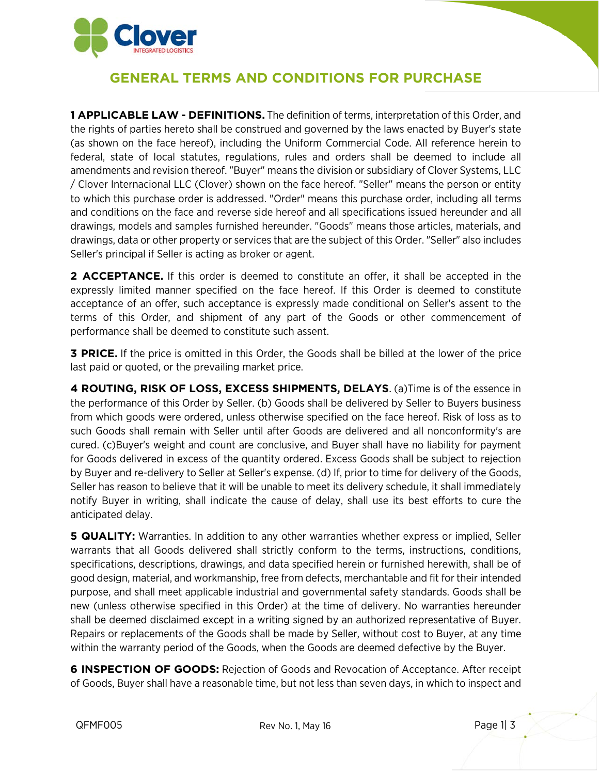

## **GENERAL TERMS AND CONDITIONS FOR PURCHASE**

**1 APPLICABLE LAW - DEFINITIONS.** The definition of terms, interpretation of this Order, and the rights of parties hereto shall be construed and governed by the laws enacted by Buyer's state (as shown on the face hereof), including the Uniform Commercial Code. All reference herein to federal, state of local statutes, regulations, rules and orders shall be deemed to include all amendments and revision thereof. "Buyer" means the division or subsidiary of Clover Systems, LLC / Clover Internacional LLC (Clover) shown on the face hereof. "Seller" means the person or entity to which this purchase order is addressed. "Order" means this purchase order, including all terms and conditions on the face and reverse side hereof and all specifications issued hereunder and all drawings, models and samples furnished hereunder. "Goods" means those articles, materials, and drawings, data or other property or services that are the subject of this Order. "Seller" also includes Seller's principal if Seller is acting as broker or agent.

**2 ACCEPTANCE.** If this order is deemed to constitute an offer, it shall be accepted in the expressly limited manner specified on the face hereof. If this Order is deemed to constitute acceptance of an offer, such acceptance is expressly made conditional on Seller's assent to the terms of this Order, and shipment of any part of the Goods or other commencement of performance shall be deemed to constitute such assent.

**3 PRICE.** If the price is omitted in this Order, the Goods shall be billed at the lower of the price last paid or quoted, or the prevailing market price.

**4 ROUTING, RISK OF LOSS, EXCESS SHIPMENTS, DELAYS**. (a)Time is of the essence in the performance of this Order by Seller. (b) Goods shall be delivered by Seller to Buyers business from which goods were ordered, unless otherwise specified on the face hereof. Risk of loss as to such Goods shall remain with Seller until after Goods are delivered and all nonconformity's are cured. (c)Buyer's weight and count are conclusive, and Buyer shall have no liability for payment for Goods delivered in excess of the quantity ordered. Excess Goods shall be subject to rejection by Buyer and re-delivery to Seller at Seller's expense. (d) If, prior to time for delivery of the Goods, Seller has reason to believe that it will be unable to meet its delivery schedule, it shall immediately notify Buyer in writing, shall indicate the cause of delay, shall use its best efforts to cure the anticipated delay.

**5 QUALITY:** Warranties. In addition to any other warranties whether express or implied, Seller warrants that all Goods delivered shall strictly conform to the terms, instructions, conditions, specifications, descriptions, drawings, and data specified herein or furnished herewith, shall be of good design, material, and workmanship, free from defects, merchantable and fit for their intended purpose, and shall meet applicable industrial and governmental safety standards. Goods shall be new (unless otherwise specified in this Order) at the time of delivery. No warranties hereunder shall be deemed disclaimed except in a writing signed by an authorized representative of Buyer. Repairs or replacements of the Goods shall be made by Seller, without cost to Buyer, at any time within the warranty period of the Goods, when the Goods are deemed defective by the Buyer.

**6 INSPECTION OF GOODS:** Rejection of Goods and Revocation of Acceptance. After receipt of Goods, Buyer shall have a reasonable time, but not less than seven days, in which to inspect and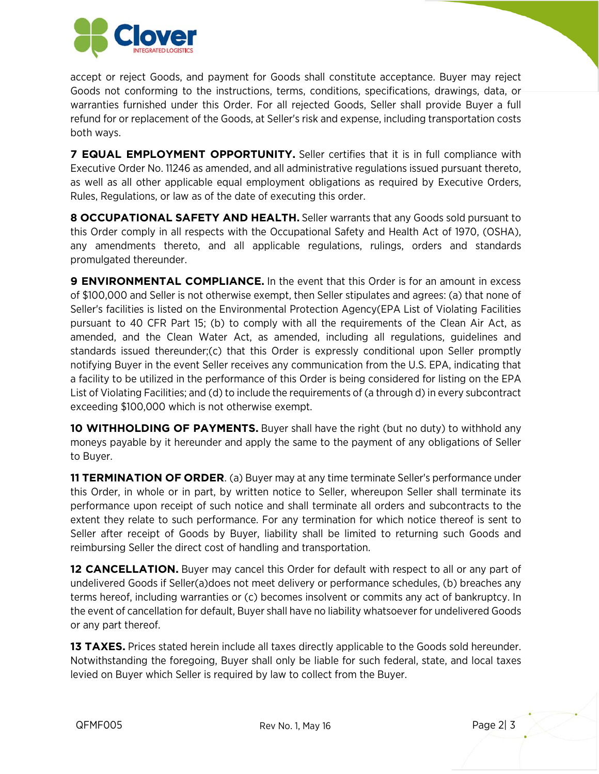

accept or reject Goods, and payment for Goods shall constitute acceptance. Buyer may reject Goods not conforming to the instructions, terms, conditions, specifications, drawings, data, or warranties furnished under this Order. For all rejected Goods, Seller shall provide Buyer a full refund for or replacement of the Goods, at Seller's risk and expense, including transportation costs both ways.

**7 EQUAL EMPLOYMENT OPPORTUNITY.** Seller certifies that it is in full compliance with Executive Order No. 11246 as amended, and all administrative regulations issued pursuant thereto, as well as all other applicable equal employment obligations as required by Executive Orders, Rules, Regulations, or law as of the date of executing this order.

**8 OCCUPATIONAL SAFETY AND HEALTH.** Seller warrants that any Goods sold pursuant to this Order comply in all respects with the Occupational Safety and Health Act of 1970, (OSHA), any amendments thereto, and all applicable regulations, rulings, orders and standards promulgated thereunder.

**9 ENVIRONMENTAL COMPLIANCE.** In the event that this Order is for an amount in excess of \$100,000 and Seller is not otherwise exempt, then Seller stipulates and agrees: (a) that none of Seller's facilities is listed on the Environmental Protection Agency(EPA List of Violating Facilities pursuant to 40 CFR Part 15; (b) to comply with all the requirements of the Clean Air Act, as amended, and the Clean Water Act, as amended, including all regulations, guidelines and standards issued thereunder;(c) that this Order is expressly conditional upon Seller promptly notifying Buyer in the event Seller receives any communication from the U.S. EPA, indicating that a facility to be utilized in the performance of this Order is being considered for listing on the EPA List of Violating Facilities; and (d) to include the requirements of (a through d) in every subcontract exceeding \$100,000 which is not otherwise exempt.

**10 WITHHOLDING OF PAYMENTS.** Buyer shall have the right (but no duty) to withhold any moneys payable by it hereunder and apply the same to the payment of any obligations of Seller to Buyer.

**11 TERMINATION OF ORDER**. (a) Buyer may at any time terminate Seller's performance under this Order, in whole or in part, by written notice to Seller, whereupon Seller shall terminate its performance upon receipt of such notice and shall terminate all orders and subcontracts to the extent they relate to such performance. For any termination for which notice thereof is sent to Seller after receipt of Goods by Buyer, liability shall be limited to returning such Goods and reimbursing Seller the direct cost of handling and transportation.

**12 CANCELLATION.** Buyer may cancel this Order for default with respect to all or any part of undelivered Goods if Seller(a)does not meet delivery or performance schedules, (b) breaches any terms hereof, including warranties or (c) becomes insolvent or commits any act of bankruptcy. In the event of cancellation for default, Buyer shall have no liability whatsoever for undelivered Goods or any part thereof.

**13 TAXES.** Prices stated herein include all taxes directly applicable to the Goods sold hereunder. Notwithstanding the foregoing, Buyer shall only be liable for such federal, state, and local taxes levied on Buyer which Seller is required by law to collect from the Buyer.